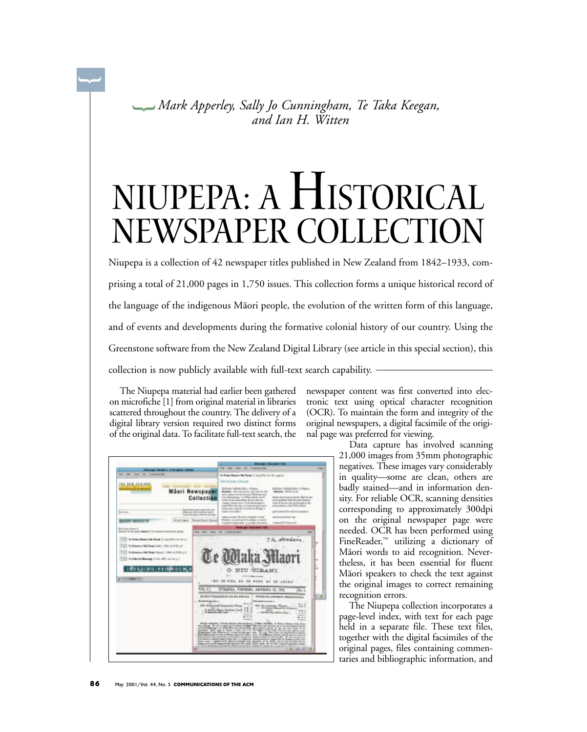*Mark Apperley, Sally Jo Cunningham, Te Taka Keegan,* **{** *and Ian H. Witten*

## Niupepa: A Historical NEWSPAPER COLLECTIO

Niupepa is a collection of 42 newspaper titles published in New Zealand from 1842–1933, comprising a total of 21,000 pages in 1,750 issues. This collection forms a unique historical record of the language of the indigenous Mãori people, the evolution of the written form of this language, and of events and developments during the formative colonial history of our country. Using the Greenstone software from the New Zealand Digital Library (see article in this special section), this collection is now publicly available with full-text search capability.

The Niupepa material had earlier been gathered on microfiche [1] from original material in libraries scattered throughout the country. The delivery of a digital library version required two distinct forms of the original data. To facilitate full-text search, the

**{**



newspaper content was first converted into electronic text using optical character recognition (OCR). To maintain the form and integrity of the original newspapers, a digital facsimile of the original page was preferred for viewing.

Data capture has involved scanning 21,000 images from 35mm photographic negatives. These images vary considerably in quality—some are clean, others are badly stained—and in information density. For reliable OCR, scanning densities corresponding to approximately 300dpi on the original newspaper page were needed. OCR has been performed using FineReader,™ utilizing a dictionary of Mãori words to aid recognition. Nevertheless, it has been essential for fluent Mãori speakers to check the text against the original images to correct remaining recognition errors.

The Niupepa collection incorporates a page-level index, with text for each page held in a separate file. These text files, together with the digital facsimiles of the original pages, files containing commentaries and bibliographic information, and